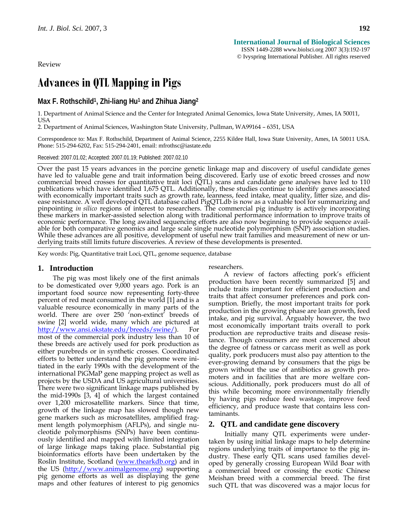Review

# **Advances in QTL Mapping in Pigs**

**Max F. Rothschild1, Zhi-liang Hu1 and Zhihua Jiang2**

1. Department of Animal Science and the Center for Integrated Animal Genomics, Iowa State University, Ames, IA 50011, USA

2. Department of Animal Sciences, Washington State University, Pullman, WA99164 – 6351, USA

Correspondence to: Max F. Rothschild, Department of Animal Science, 2255 Kildee Hall, Iowa State University, Ames, IA 50011 USA. Phone: 515-294-6202, Fax: 515-294-2401, email: mfrothsc@iastate.edu

Received: 2007.01.02; Accepted: 2007.01.19; Published: 2007.02.10

Over the past 15 years advances in the porcine genetic linkage map and discovery of useful candidate genes<br>have led to valuable gene and trait information being discovered. Early use of exotic breed crosses and now commercial breed crosses for quantitative trait loci (QTL) scans and candidate gene analyses have led to 110 publications which have identified 1,675 QTL. Additionally, these studies continue to identify genes associated with economically important traits such as growth rate, leanness, feed intake, meat quality, litter size, and dis-<br>ease resistance. A well developed QTL database called PigQTLdb is now as a valuable tool for summarizing an pinpointing *in silico* regions of interest to researchers. The commercial pig industry is actively incorporating these markers in marker-assisted selection along with traditional performance information to improve traits of<br>economic performance. The long awaited sequencing efforts are also now beginning to provide sequence availeconomic performance. The long awaited sequencing efforts are also now beginning to provide sequence avail-<br>able for both comparative genomics and large scale single nucleotide polymorphism (SNP) association studies.<br>While derlying traits still limits future discoveries. A review of these developments is presented.

Key words: Pig, Quantitative trait Loci, QTL, genome sequence, database

# **1. Introduction**

The pig was most likely one of the first animals to be domesticated over 9,000 years ago. Pork is an important food source now representing forty-three percent of red meat consumed in the world [1] and is a valuable resource economically in many parts of the world. There are over 250 'non-extinct' breeds of swine [2] world wide, many which are pictured at http://www.ansi.okstate.edu/breeds/swine/). For most of the commercial pork industry less than 10 of these breeds are actively used for pork production as either purebreds or in synthetic crosses. Coordinated efforts to better understand the pig genome were initiated in the early 1990s with the development of the international PiGMaP gene mapping project as well as projects by the USDA and US agricultural universities. There were two significant linkage maps published by the mid-1990s [3, 4] of which the largest contained over 1,200 microsatellite markers. Since that time, growth of the linkage map has slowed though new gene markers such as microsatellites, amplified fragment length polymorphism (AFLPs), and single nucleotide polymorphisms (SNPs) have been continuously identified and mapped with limited integration of large linkage maps taking place. Substantial pig bioinformatics efforts have been undertaken by the Roslin Institute, Scotland (www.thearkdb.org) and in the US (http://www.animalgenome.org) supporting pig genome efforts as well as displaying the gene maps and other features of interest to pig genomics

researchers.

A review of factors affecting pork's efficient production have been recently summarized [5] and include traits important for efficient production and traits that affect consumer preferences and pork consumption. Briefly, the most important traits for pork production in the growing phase are lean growth, feed intake, and pig survival. Arguably however, the two most economically important traits overall to pork production are reproductive traits and disease resistance. Though consumers are most concerned about the degree of fatness or carcass merit as well as pork quality, pork producers must also pay attention to the ever-growing demand by consumers that the pigs be grown without the use of antibiotics as growth promoters and in facilities that are more welfare conscious. Additionally, pork producers must do all of this while becoming more environmentally friendly by having pigs reduce feed wastage, improve feed efficiency, and produce waste that contains less contaminants.

# **2. QTL and candidate gene discovery**

 Initially many QTL experiments were undertaken by using initial linkage maps to help determine regions underlying traits of importance to the pig industry. These early QTL scans used families developed by generally crossing European Wild Boar with a commercial breed or crossing the exotic Chinese Meishan breed with a commercial breed. The first such QTL that was discovered was a major locus for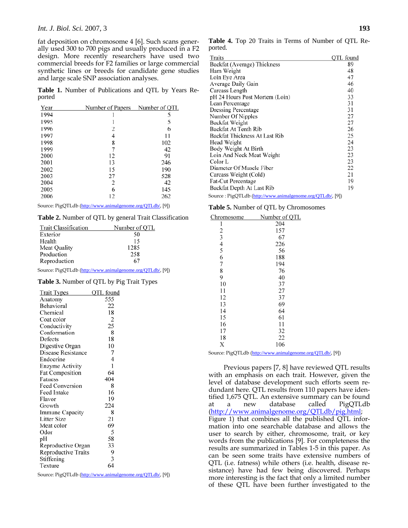## *Int. J. Biol. Sci.* 2007, 3 **193**

fat deposition on chromosome 4 [6]. Such scans generally used 300 to 700 pigs and usually produced in a F2 design. More recently researchers have used two commercial breeds for F2 families or large commercial synthetic lines or breeds for candidate gene studies and large scale SNP association analyses.

**Table 1.** Number of Publications and QTL by Years Reported

| Year | Number of Papers | Number of QTL |
|------|------------------|---------------|
| 1994 |                  | 5             |
| 1995 |                  | 5             |
| 1996 | 2                | 6             |
| 1997 | 4                | 11            |
| 1998 | 8                | 102           |
| 1999 | 7                | 42            |
| 2000 | 12               | 91            |
| 2001 | 13               | 246           |
| 2002 | 15               | 190           |
| 2003 | 27               | 528           |
| 2004 | 2                | 42            |
| 2005 | 6                | 145           |
| 2006 | 12               | 262           |

## Source: PigQTLdb (http://www.animalgenome.org/QTLdb/, [9])

| Table 2. Number of QTL by general Trait Classification |
|--------------------------------------------------------|
|--------------------------------------------------------|

| Trait Classification | Number of OTL                                              |
|----------------------|------------------------------------------------------------|
| Exterior             | 50                                                         |
| Health               | 15                                                         |
| Meat Quality         | 1285                                                       |
| Production           | 258                                                        |
| Reproduction         | 67                                                         |
|                      | Source: PigQTLdb (http://www.animalgenome.org/QTLdb/, [9]) |

|  | Table 3. Number of QTL by Pig Trait Types |  |
|--|-------------------------------------------|--|
|  |                                           |  |

| <b>Trait Types</b>     | QTL found |  |
|------------------------|-----------|--|
| Anatomy                | 555       |  |
| Behavioral             | 22        |  |
| Chemical               | 18        |  |
| Coat color             | 2         |  |
| Conductivity           | 25        |  |
| Conformation           | 8         |  |
| Defects                | 18        |  |
| Digestive Organ        | 10        |  |
| Disease Resistance     | 7         |  |
| Endocrine              | 4         |  |
| Enzyme Activity        | 1         |  |
| <b>Fat Composition</b> | 64        |  |
| Fatness                | 404       |  |
| Feed Conversion        | 8         |  |
| Feed Intake            | 16        |  |
| Flavor                 | 19        |  |
| Growth                 | 224       |  |
| Immune Capacity        | 8         |  |
| Litter Size            | 21        |  |
| Meat color             | 69        |  |
| Odor                   | 5         |  |
| pН                     | 58        |  |
| Reproductive Organ     | 33        |  |
| Reproductive Traits    | 9         |  |
| Stiffening             | 3         |  |
| Texture                | 64        |  |

Source: PigQTLdb (http://www.animalgenome.org/QTLdb/, [9])

**Table 4.** Top 20 Traits in Terms of Number of QTL Reported.

| Traits                                                     | QTL found |
|------------------------------------------------------------|-----------|
| Backfat (Average) Thickness                                | 89        |
| Ham Weight                                                 | 48        |
| Loin Eye Area                                              | 47        |
| Average Daily Gain                                         | 46        |
| Carcass Length                                             | 40        |
| pH 24 Hours Post Mortem (Loin)                             | 33        |
| Lean Percentage                                            | 31        |
| Dressing Percentage                                        | 31        |
| Number Of Nipples                                          | 27        |
| Backfat Weight                                             | 27        |
| Backfat At Tenth Rib                                       | 26        |
| Backfat Thickness At Last Rib                              | 25        |
| Head Weight                                                | 24        |
| Body Weight At Birth                                       | 23        |
| Loin And Neck Meat Weight                                  | 23        |
| Color L                                                    | 23        |
| Diameter Of Muscle Fiber                                   | 22        |
| Carcass Weight (Cold)                                      | 21        |
| <b>Fat-Cut Percentage</b>                                  | 19        |
| Backfat Depth At Last Rib                                  | 19        |
| Source: PigQTLdb (http://www.animalgenome.org/QTLdb/, [9]) |           |

### **Table 5.** Number of QTL by Chromosomes

| Chromosome               | Number of QTL |
|--------------------------|---------------|
| 1                        | 204           |
| $\overline{c}$           | 157           |
| 3                        | 67            |
| $\overline{\mathcal{A}}$ | 226           |
| 5                        | 56            |
| 6                        | 188           |
| $\overline{7}$           | 194           |
| 8                        | 76            |
| 9                        | 40            |
| 10                       | 37            |
| 11                       | 27            |
| 12                       | 37            |
| 13                       | 69            |
| 14                       | 64            |
| 15                       | 61            |
| 16                       | 11            |
| 17                       | 32            |
| 18                       | 22            |
| X                        | 106           |

Source: PigQTLdb (http://www.animalgenome.org/QTLdb/, [9])

Previous papers [7, 8] have reviewed QTL results with an emphasis on each trait. However, given the level of database development such efforts seem redundant here. QTL results from 110 papers have identified 1,675 QTL. An extensive summary can be found at a new database called PigQTLdb (http://www.animalgenome.org/QTLdb/pig.html; Figure 1) that combines all the published QTL information into one searchable database and allows the user to search by either, chromosome, trait, or key words from the publications [9]. For completeness the results are summarized in Tables 1-5 in this paper. As can be seen some traits have extensive numbers of QTL (i.e. fatness) while others (i.e. health, disease resistance) have had few being discovered. Perhaps more interesting is the fact that only a limited number of these QTL have been further investigated to the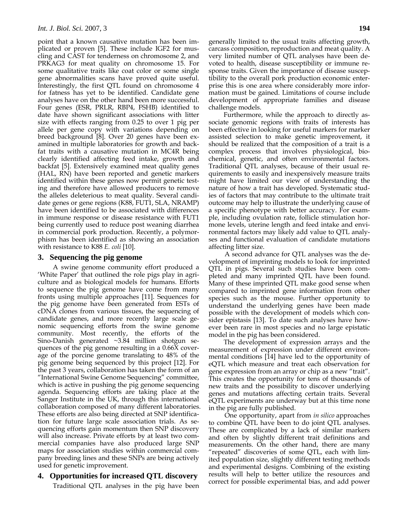point that a known causative mutation has been implicated or proven [5]. These include IGF2 for muscling and CAST for tenderness on chromosome 2, and PRKAG3 for meat quality on chromosome 15. For some qualitative traits like coat color or some single gene abnormalities scans have proved quite useful. Interestingly, the first QTL found on chromosome 4 for fatness has yet to be identified. Candidate gene analyses have on the other hand been more successful. Four genes (ESR, PRLR, RBP4, FSHB) identified to date have shown significant associations with litter size with effects ranging from 0.25 to over 1 pig per allele per gene copy with variations depending on breed background [8]. Over 20 genes have been examined in multiple laboratories for growth and backfat traits with a causative mutation in MC4R being clearly identified affecting feed intake, growth and backfat [5]. Extensively examined meat quality genes (HAL, RN) have been reported and genetic markers identified within these genes now permit genetic testing and therefore have allowed producers to remove the alleles deleterious to meat quality. Several candidate genes or gene regions (K88, FUT1, SLA, NRAMP) have been identified to be associated with differences in immune response or disease resistance with FUT1 being currently used to reduce post weaning diarrhea in commercial pork production. Recently, a polymorphism has been identified as showing an association with resistance to K88 *E. coli* [10].

# **3. Sequencing the pig genome**

A swine genome community effort produced a 'White Paper' that outlined the role pigs play in agriculture and as biological models for humans. Efforts to sequence the pig genome have come from many fronts using multiple approaches [11]. Sequences for the pig genome have been generated from ESTs of cDNA clones from various tissues, the sequencing of candidate genes, and more recently large scale genomic sequencing efforts from the swine genome community. Most recently, the efforts of the Sino-Danish generated ~3.84 million shotgun sequences of the pig genome resulting in a 0.66X coverage of the porcine genome translating to 48% of the pig genome being sequenced by this project [12]. For the past 3 years, collaboration has taken the form of an "International Swine Genome Sequencing" committee, which is active in pushing the pig genome sequencing agenda. Sequencing efforts are taking place at the Sanger Institute in the UK, through this international collaboration composed of many different laboratories. These efforts are also being directed at SNP identification for future large scale association trials. As sequencing efforts gain momentum then SNP discovery will also increase. Private efforts by at least two commercial companies have also produced large SNP maps for association studies within commercial company breeding lines and these SNPs are being actively used for genetic improvement.

# **4. Opportunities for increased QTL discovery**

Traditional QTL analyses in the pig have been

generally limited to the usual traits affecting growth, carcass composition, reproduction and meat quality. A very limited number of QTL analyses have been devoted to health, disease susceptibility or immune response traits. Given the importance of disease susceptibility to the overall pork production economic enterprise this is one area where considerably more information must be gained. Limitations of course include development of appropriate families and disease challenge models.

Furthermore, while the approach to directly associate genomic regions with traits of interests has been effective in looking for useful markers for marker assisted selection to make genetic improvement, it should be realized that the composition of a trait is a complex process that involves physiological, biochemical, genetic, and often environmental factors. Traditional QTL analyses, because of their usual requirements to easily and inexpensively measure traits might have limited our view of understanding the nature of how a trait has developed. Systematic studies of factors that may contribute to the ultimate trait outcome may help to illustrate the underlying cause of a specific phenotype with better accuracy. For example, including ovulation rate, follicle stimulation hormone levels, uterine length and feed intake and environmental factors may likely add value to QTL analyses and functional evaluation of candidate mutations affecting litter size.

 A second advance for QTL analyses was the development of imprinting models to look for imprinted QTL in pigs. Several such studies have been completed and many imprinted QTL have been found. Many of these imprinted QTL make good sense when compared to imprinted gene information from other species such as the mouse. Further opportunity to understand the underlying genes have been made possible with the development of models which consider epistasis [13]. To date such analyses have however been rare in most species and no large epistatic model in the pig has been considered.

The development of expression arrays and the measurement of expression under different environmental conditions [14] have led to the opportunity of eQTL which measure and treat each observation for gene expression from an array or chip as a new "trait". This creates the opportunity for tens of thousands of new traits and the possibility to discover underlying genes and mutations affecting certain traits. Several eQTL experiments are underway but at this time none in the pig are fully published.

 One opportunity, apart from *in silico* approaches to combine QTL have been to do joint QTL analyses. These are complicated by a lack of similar markers and often by slightly different trait definitions and measurements. On the other hand, there are many "repeated" discoveries of some QTL, each with limited population size, slightly different testing methods and experimental designs. Combining of the existing results will help to better utilize the resources and correct for possible experimental bias, and add power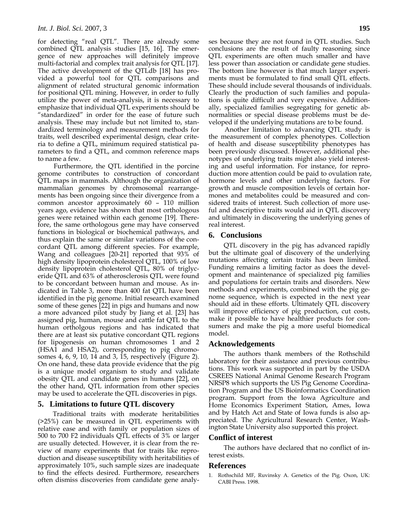for detecting "real QTL". There are already some combined QTL analysis studies [15, 16]. The emergence of new approaches will definitely improve multi-factorial and complex trait analysis for QTL [17]. The active development of the QTLdb [18] has provided a powerful tool for QTL comparisons and alignment of related structural genomic information for positional QTL mining. However, in order to fully utilize the power of meta-analysis, it is necessary to emphasize that individual QTL experiments should be "standardized" in order for the ease of future such analysis. These may include but not limited to, standardized terminology and measurement methods for traits, well described experimental design, clear criteria to define a QTL, minimum required statistical parameters to find a QTL, and common reference maps to name a few.

 Furthermore, the QTL identified in the porcine genome contributes to construction of concordant QTL maps in mammals. Although the organization of mammalian genomes by chromosomal rearrangements has been ongoing since their divergence from a common ancestor approximately 60 – 110 million years ago, evidence has shown that most orthologous genes were retained within each genome [19]. Therefore, the same orthologous gene may have conserved functions in biological or biochemical pathways, and thus explain the same or similar variations of the concordant QTL among different species. For example, Wang and colleagues [20-21] reported that 93% of high density lipoprotein cholesterol QTL, 100% of low density lipoprotein cholesterol QTL, 80% of triglyceride QTL and 63% of atherosclerosis QTL were found to be concordant between human and mouse. As indicated in Table 3, more than 400 fat QTL have been identified in the pig genome. Initial research examined some of these genes [22] in pigs and humans and now a more advanced pilot study by Jiang et al. [23] has assigned pig, human, mouse and cattle fat QTL to the human ortholgous regions and has indicated that there are at least six putative concordant QTL regions for lipogenesis on human chromosomes 1 and 2 (HSA1 and HSA2), corresponding to pig chromosomes 4, 6, 9, 10, 14 and 3, 15, respectively (Figure 2). On one hand, these data provide evidence that the pig is a unique model organism to study and validate obesity QTL and candidate genes in humans [22], on the other hand, QTL information from other species may be used to accelerate the QTL discoveries in pigs.

## **5. Limitations to future QTL discovery**

Traditional traits with moderate heritabilities (>25%) can be measured in QTL experiments with relative ease and with family or population sizes of 500 to 700 F2 individuals QTL effects of 3% or larger are usually detected. However, it is clear from the review of many experiments that for traits like reproduction and disease susceptibility with heritabilities of approximately 10%, such sample sizes are inadequate to find the effects desired. Furthermore, researchers often dismiss discoveries from candidate gene analyses because they are not found in QTL studies. Such conclusions are the result of faulty reasoning since QTL experiments are often much smaller and have less power than association or candidate gene studies. The bottom line however is that much larger experiments must be formulated to find small QTL effects. These should include several thousands of individuals. Clearly the production of such families and populations is quite difficult and very expensive. Additionally, specialized families segregating for genetic abnormalities or special disease problems must be developed if the underlying mutations are to be found.

 Another limitation to advancing QTL study is the measurement of complex phenotypes. Collection of health and disease susceptibility phenotypes has been previously discussed. However, additional phenotypes of underlying traits might also yield interesting and useful information. For instance, for reproduction more attention could be paid to ovulation rate, hormone levels and other underlying factors. For growth and muscle composition levels of certain hormones and metabolites could be measured and considered traits of interest. Such collection of more useful and descriptive traits would aid in QTL discovery and ultimately in discovering the underlying genes of real interest.

## **6. Conclusions**

QTL discovery in the pig has advanced rapidly but the ultimate goal of discovery of the underlying mutations affecting certain traits has been limited. Funding remains a limiting factor as does the development and maintenance of specialized pig families and populations for certain traits and disorders. New methods and experiments, combined with the pig genome sequence, which is expected in the next year should aid in these efforts. Ultimately QTL discovery will improve efficiency of pig production, cut costs, make it possible to have healthier products for consumers and make the pig a more useful biomedical model.

# **Acknowledgements**

The authors thank members of the Rothschild laboratory for their assistance and previous contributions. This work was supported in part by the USDA CSREES National Animal Genome Research Program NRSP8 which supports the US Pig Genome Coordination Program and the US Bioinformatics Coordination program. Support from the Iowa Agriculture and Home Economics Experiment Station, Ames, Iowa and by Hatch Act and State of Iowa funds is also appreciated. The Agricultural Research Center, Washington State University also supported this project.

# **Conflict of interest**

The authors have declared that no conflict of interest exists.

### **References**

1. Rothschild MF, Ruvinsky A. Genetics of the Pig. Oxon, UK: CABI Press. 1998.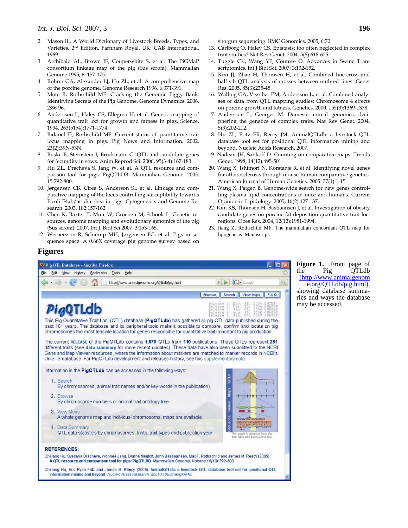- 2. Mason IL. A World Dictionary of Livestock Breeds, Types, and Varieties. 2nd Edition. Farnham Royal, UK: CAB International, 1969.
- 3. Archibald AL, Brown JF, Couperwhite S, et al. The PiGMaP consortium linkage map of the pig (Sus scrofa). Mammalian Genome 1995; 6: 157-175.
- 4. Rohrer GA, Alexander LJ, Hu ZL, et al. A comprehensive map of the porcine genome. Genome Research 1996, 6:371-391.
- Mote B, Rothschild MF. Cracking the Genomic Piggy Bank: Identifying Secrets of the Pig Genome. Genome Dynamics. 2006, 2:86-96.
- 6. Andersson L, Haley CS, Ellegren H, et al. Genetic mapping of quantitative trait loci for growth and fatness in pigs. Science, 1994. 263(5154):1771-1774.
- 7. Bidanel JP, Rothschild MF. Current status of quantitative trait locus mapping in pigs. Pig News and Information. 2002. 23(2):39N-53N.
- 8. Buske B, Sternstein I, Brockmann G. QTL and candidate genes for fecundity in sows. Anim Reprod Sci. 2006, 95(3-4):167-183.
- 9. Hu ZL, Dracheva S, Jang W, et al. A QTL resource and comparison tool for pigs: PigQTLDB. Mammalian Genome. 2005. 15:792-800.
- 10. Jørgensen CB, Cirea S, Anderson SI, et al. Linkage and comparative mapping of the locus controlling susceptibility towards E.coli F4ab/ac diarrhea in pigs. Cytogenetics and Genome Research. 2003. 102:157-162.
- 11. Chen K, Baxter T, Muir W, Groenen M, Schook L. Genetic resources, genome mapping and evolutionary genomics of the pig (Sus scrofa). 2007. Int J. Biol Sci 2007; 3:153-165.
- 12. Wernersson R, Schierup MH, Jørgensen FG, et al. Pigs in sequence space: A 0.66X coverage pig genome survey based on

shotgun sequencing. BMC Genomics. 2005, 6:70.

- 13. Carlborg O, Haley CS. Epistasis: too often neglected in complex trait studies? Nat Rev Genet. 2004, 5(8):618-625.
- 14. Tuggle CK, Wang YF, Couture O. Advances in Swine Transcriptomics. Int J Biol Sci. 2007; 3:132-152.
- 15. Kim JJ, Zhao H, Thomsen H, et al. Combined line-cross and half-sib QTL analysis of crosses between outbred lines. Genet Res. 2005. 85(3):235-48.
- 16. Walling GA, Visscher PM, Andersson L, et al. Combined analyses of data from QTL mapping studies: Chromosome 4 effects on porcine growth and fatness. Genetics. 2000. 155(3):1369-1378.
- 17. Andersson L, Georges M. Domestic-animal genomics: deciphering the genetics of complex traits. Nat Rev Genet. 2004. 5(3):202-212.
- 18. Hu ZL, Fritz ER, Reecy JM. AnimalQTLdb: a livestock QTL database tool set for positional QTL information mining and beyond. Nucleic Acids Research. 2007.
- 19. Nadeau JH, Sankoff D. Counting on comparative maps. Trends Genet. 1998, 14(12):495-501.
- 20. Wang X, Ishimori N, Korstanje R, et al. Identifying novel genes for atherosclerosis through mouse-human comparative genetics. American Journal of Human Genetics. 2005. 77(1):1-15.
- 21. Wang X, Paigen B. Genome-wide search for new genes controlling plasma lipid concentrations in mice and humans. Current Opinion in Lipidology. 2005, 16(2):127-137.
- 22. Kim KS, Thomsen H, Bastiaansen J, et al. Investigation of obesity candidate genes on porcine fat deposition quantitative trait loci regions. Obes Res. 2004, 12(12):1981-1994.
- 23. Jiang Z, Rothschild MF. The mammalian concordant QTL map for lipogenesis. Manuscript.

## **Figures**



**Figure 1.** Front page of the Pig QTLdb the Pig QTLdb (http://www.animalgenom e.org/QTLdb/pig.html), showing database summa-

ries and ways the database may be accessed.